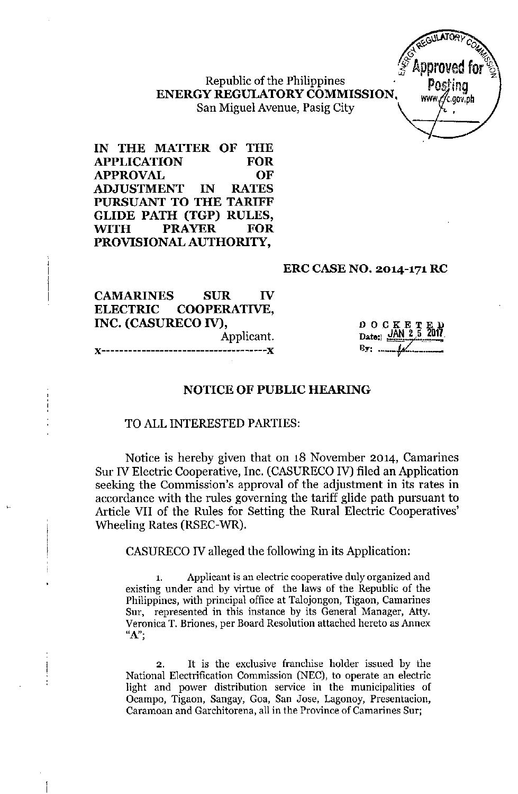Republic of the Philippines ENERGY REGULATORYCOMMISSION, San Miguel Avenue, Pasig City



IN THE MATTER OF THE APPLICATION FOR APPROVAL OF ADJUSTMENT IN RATES PURSUANT TO THE TARIFF GLIDE PATH (TGP) RULES, ~TH PRAYER FOR PROVISIONAL AUTHORITY,

#### ERC CASENO. 2014-171 RC

CAMARINES SUR IV ELECTRIC COOPERATIVE, INC. (CASURECO IV), Applicant.

"-------------------------------------,,

DOCKET<sub>.</sub> Date:: ~[lN 2,5 201~ By: •.•\_\_ *'j2'.\_\_.\_*

### NOTICE OF PUBLIC HEARING

#### TO ALL INTERESTED PARTIES:

Notice is hereby given that on 18 November 2014, Camarines Sur IV Electric Cooperative, Inc. (CASURECO IV) filed an Application seeking the Commission's approval of the adjustment in its rates in accordance with the rules governing the tariff glide path pursuant to Article VII of the Rules for Setting the Rural Electric Cooperatives' Wheeling Rates (RSEC-WR).

CASURECO IV alleged the following in its Application:

1. Applicant is an electric cooperative duly organized and existing under and by virtue of the laws of the Republic of the Philippines, with principal office at Talojongon, Tigaon, Camarines Sur, represented in this instance by its General Manager, Atty. Veronica T. Briones, per Board Resolution attached hereto as Annex "A";

2. It is the exclusive franchise holder issued by the National Electrification Commission (NEC), to operate an electric light and power distribution service in the municipalities of Ocampo, Tigaon, Sangay, Goa, San Jose, Lagonoy, Presentacion, Caramoan and Garchitorena, all in the Province of Camarines Sur;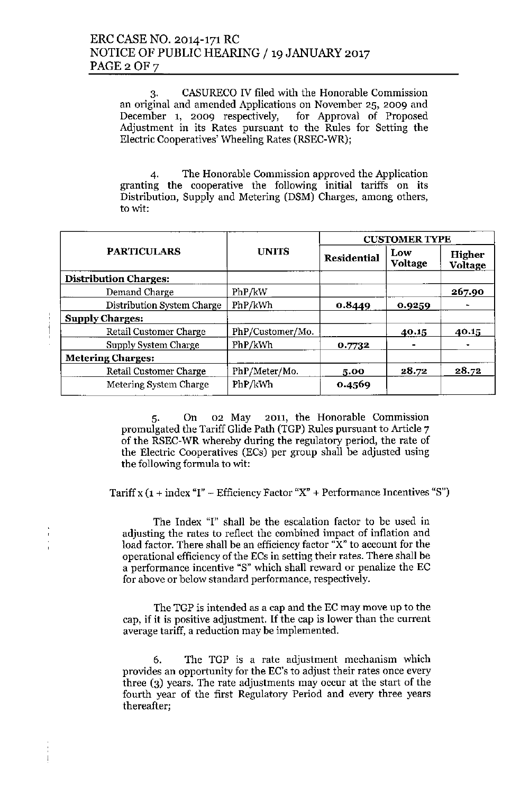3. CASURECO IV filed with the Honorable Commission an original and amended Applications on November 25, 2009 and December 1, 2009 respectively, for Approval of Proposed Adjustment in its Rates pursuant to the Rules for Setting the Electric Cooperatives' Wheeling Rates (RSEC-WR);

4. The Honorable Commission approved the Application granting the cooperative the following initial tariffs on its Distribution, Supply and Metering (DSM) Charges, among others, to wit:

|                               |                  | <b>CUSTOMER TYPE</b><br><b>UNITS</b><br>Low<br><b>Residential</b><br><b>Voltage</b> |        |                   |
|-------------------------------|------------------|-------------------------------------------------------------------------------------|--------|-------------------|
| <b>PARTICULARS</b>            |                  |                                                                                     |        | Higher<br>Voltage |
| <b>Distribution Charges:</b>  |                  |                                                                                     |        |                   |
| Demand Charge                 | PhP/kW           |                                                                                     |        | 267.90            |
| Distribution System Charge    | PhP/kWh          | 0.8449                                                                              | 0.9259 |                   |
| <b>Supply Charges:</b>        |                  |                                                                                     |        |                   |
| <b>Retail Customer Charge</b> | PhP/Customer/Mo. |                                                                                     | 40.15  | 40.15             |
| Supply System Charge          | PhP/kWh          | 0.7732                                                                              |        |                   |
| <b>Metering Charges:</b>      |                  |                                                                                     |        |                   |
| <b>Retail Customer Charge</b> | PhP/Meter/Mo.    | 5.00                                                                                | 28.72  | 28.72             |
| Metering System Charge        | PhP/kWh          | 0.4569                                                                              |        |                   |

5. On 02 May 2011, the Honorable Commission promulgated the Tariff Glide Path (TGP) Rules pursuant to Article 7 of the RSEC-WR whereby during the regulatory period, the rate of the Electric Cooperatives (ECs) per group shall be adjusted using the following formula to wit:

Tariff x  $(1 + index "I" - Efficiency Factor "X" + Performance Incentives "S")$ 

The Index "I" shall be the escalation factor to be used in adjusting the rates to reflect the combined impact of inflation and load factor. There shall be an efficiency factor "X" to account for the operational efficiency of the ECs in setting their rates. There shall be a performance incentive "8" which shall reward or penalize the EC for above or below standard performance, respectively.

The TGP is intended as a cap and the EC may move up to the cap, if it is positive adjustment. If the cap is lower than the current average tariff, a reduction may be implemented.

6. The TGP is a rate adjustment mechanism which provides an opportunity for the EC's to adjust their rates once every three (3) years. The rate adjustments may occur at the start of the fourth year of the first Regulatory Period and every three years thereafter;

 $\begin{array}{c} \end{array}$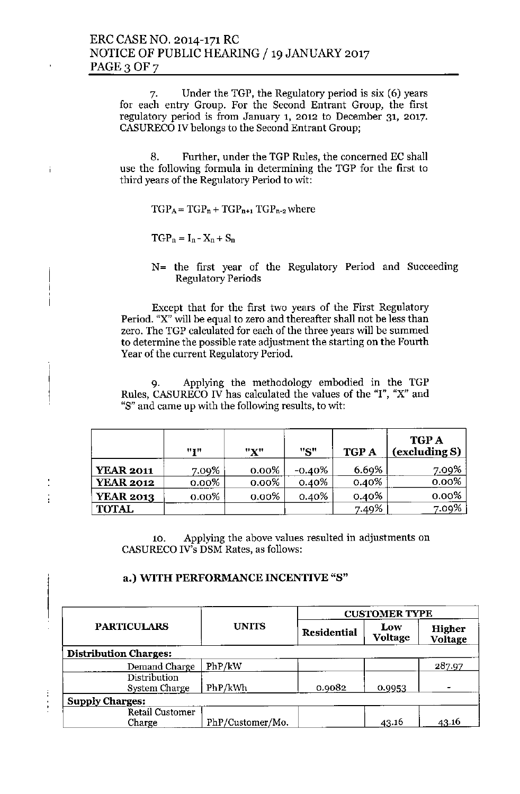7. Under the TGP, the Regulatory period is six (6) years for each entry Group. For the Second Entrant Group, the first regulatory period is from January 1, 2012 to December 31, 2017. CASURECO IV belongs to the Second Entrant Group;

8. Further, under the TGP Rules, the concerned EC shall use the following formula in determining the TGP for the first to third years of the Regulatory Period to wit:

 $TGP_A = TGP_n + TGP_{n+1} TGP_{n-2}$  where

 $TGP_n = I_n - X_n + S_n$ 

Ť

N= the first year of the Regulatory Period and Succeeding Regulatory Periods

Except that for the first two years of the First Regulatory Period. "X" will be equal to zero and thereafter shall not be less than zero. The TGP calculated for each of the three years will be summed to determine the possible rate adjustment the starting on the Fourth Year of the current Regulatory Period.

9. Applying the methodology embodied in the TGP Rules, CASURECO IV has calculated the values of the "I", "X" and "S" and came up with the following results, to wit:

|                  | "I"      | "X"      | "S"       | <b>TGP A</b> | <b>TGP A</b><br>(excluding S) |
|------------------|----------|----------|-----------|--------------|-------------------------------|
| <b>YEAR 2011</b> | 7.09%    | $0.00\%$ | $-0.40\%$ | 6.69%        | 7.09%                         |
| <b>YEAR 2012</b> | $0.00\%$ | 0.00%    | 0.40%     | 0.40%        | 0.00%                         |
| <b>YEAR 2013</b> | $0.00\%$ | 0.00%    | $0.40\%$  | 0.40%        | $0.00\%$                      |
| <b>TOTAL</b>     |          |          |           | 7.49%        | 7.09%                         |

10. Applying the above values resulted in adjustments on CASURECO IV's DSM Rates, as follows:

### a.) WITH PERFORMANCE INCENTIVE "8"

| <b>PARTICULARS</b>               |                  |                    | <b>CUSTOMER TYPE</b>  |                          |
|----------------------------------|------------------|--------------------|-----------------------|--------------------------|
|                                  | <b>UNITS</b>     | <b>Residential</b> | Low<br><b>Voltage</b> | <b>Higher</b><br>Voltage |
| <b>Distribution Charges:</b>     |                  |                    |                       |                          |
| Demand Charge                    | PhP/kW           |                    |                       | 287.97                   |
| Distribution<br>System Charge    | PhP/kWh          | 0.9082             | 0.9953                |                          |
| <b>Supply Charges:</b>           |                  |                    |                       |                          |
| <b>Retail Customer</b><br>Charge | PhP/Customer/Mo. |                    | 43.16                 | 43.16                    |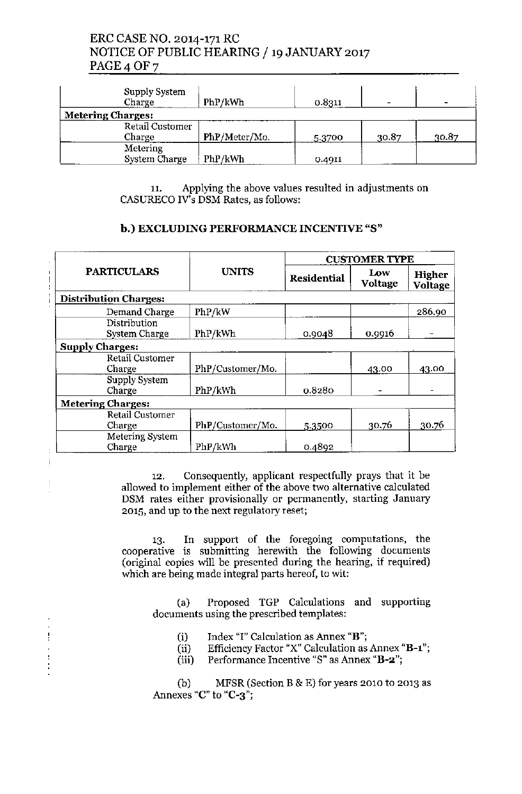# ERC CASE NO. 2014-171 RC NOTICE OF PUBLIC HEARING / 19 JANUARY 2017 PAGE<sub>4</sub> OF<sub>7</sub>

| Supply System<br>Charge  | PhP/kWh       | 0.8311 |       | -     |
|--------------------------|---------------|--------|-------|-------|
| <b>Metering Charges:</b> |               |        |       |       |
| <b>Retail Customer</b>   |               |        |       |       |
| Charge                   | PhP/Meter/Mo. | 5.3700 | 30.87 | 30.87 |
| Metering                 |               |        |       |       |
| <b>System Charge</b>     | PhP/kWh       | 0.4911 |       |       |

11. Applying the above values resulted in adjustments on CASURECO IV's DSM Rates, as follows:

## b.) EXCLUDING PERFORMANCE INCENTIVE "8"

| <b>PARTICULARS</b>            |                  |                    | <b>CUSTOMER TYPE</b> |                                 |  |
|-------------------------------|------------------|--------------------|----------------------|---------------------------------|--|
|                               | <b>UNITS</b>     | <b>Residential</b> | Low<br>Voltage       | <b>Higher</b><br><b>Voltage</b> |  |
| <b>Distribution Charges:</b>  |                  |                    |                      |                                 |  |
| Demand Charge                 | PhP/kW           |                    |                      | 286.90                          |  |
| Distribution<br>System Charge | PhP/kWh          | 0.9048             | 0.9916               |                                 |  |
| <b>Supply Charges:</b>        |                  |                    |                      |                                 |  |
| Retail Customer<br>Charge     | PhP/Customer/Mo. |                    | 43.00                | 43.00                           |  |
| Supply System<br>Charge       | PhP/kWh          | 0.8280             |                      |                                 |  |
| <b>Metering Charges:</b>      |                  |                    |                      |                                 |  |
| Retail Customer               |                  |                    |                      |                                 |  |
| Charge                        | PhP/Customer/Mo. | 5.3500             | 30.76                | 30.76                           |  |
| Metering System<br>Charge     | PhP/kWh          | 0.4892             |                      |                                 |  |

i

12. Consequently, applicant respectfully prays that it be allowed to implement either of the above two alternative calculated DSM rates either provisionally or permanently, starting January 2015, and up to the next regulatory reset;

13. In support of the foregoing computations, the cooperative is submitting herewith the following document (original copies will be presented during the hearing, if required) which are being made integral parts hereof, to wit:

(a) Proposed TGP Calculations and supporting documents using the prescribed templates:

- (i) Index "]" Calculation as Annex "B";
- (ii) Efficiency Factor "X" Calculation as Annex "B-1";
- (iii) Performance Incentive "8" as Annex "B-2";

(b) MFSR (Section B  $&$  E) for years 2010 to 2013 as Annexes "C" to "C-3";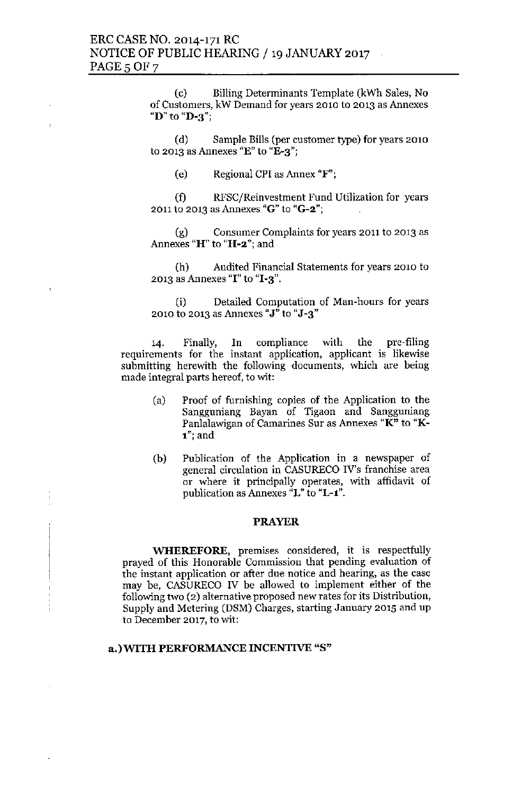(c) Billing Determinants Template (kWh Sales, No of Customers, kW Demand for years 2010 to 2013 as Annexes "D" to "D-3";

(d) Sample Bills (per customer type) for years 2010 to 2013 as Annexes "E" to "E-3";

(e) Regional CPI as Annex "F";

(f) RFSC(Reinvestment Fund Utilization for years 2011 to 2013 as Annexes "G" to "G-2";

(g) Consumer Complaints for years 2011 to 2013 as Annexes "H" to "H-2"; and

(h) Audited Financial Statements for years 2010 to 2013 as Annexes "I" to " $I-3$ ".

(i) Detailed Computation of Man-hours for years 2010 to 2013 as Annexes "J" to "J-3"

14. Finally, In compliance with the pre-filing requirements for the instant application, applicant is likewise submitting herewith the following documents, which are being made integral parts hereof, to wit:

- (a) Proof of furnishing copies of the Application to the Sangguniang Bayan of Tigaon and Sangguniang Panlalawigan of Camarines Sur as Annexes "K" to "K-1"; and
- (b) Publication of the Application in a newspaper of general circulation in CASURECO IV's franchise area or where **it** principally operates, with affidavit of publication as Annexes "L" to "L-l".

#### PRAYER

**WHEREFORE,** premises considered, it is respectfully prayed of this Honorable Commission that pending evaluation of the instant application or after due notice and hearing, as the case may be, CASURECO IV be allowed to implement either of the following two (2) alternative proposed new rates for its Distribution, Supply and Metering (DSM) Charges, starting January 2015 and up to December 2017, to wit:

#### a.) WITH PERFORMANCE INCENTIVE "8"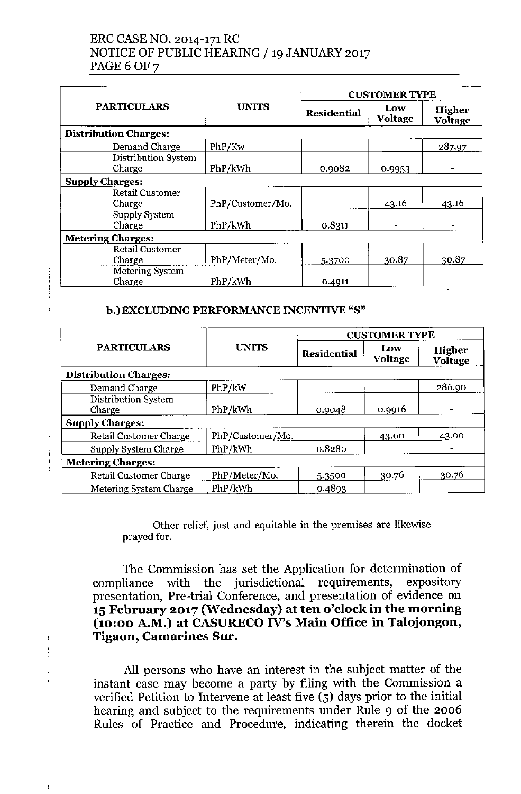# ERCCASENO. 2014-171RC NOTICE OF PUBLIC HEARING / 19 JANUARY 2017 PAGE 6 OF 7

| <b>PARTICULARS</b>               |                  |                    | <b>CUSTOMER TYPE</b>  |                          |  |
|----------------------------------|------------------|--------------------|-----------------------|--------------------------|--|
|                                  | <b>UNITS</b>     | <b>Residential</b> | Low<br><b>Voltage</b> | Higher<br><b>Voltage</b> |  |
| <b>Distribution Charges:</b>     |                  |                    |                       |                          |  |
| Demand Charge                    | PhP/Kw           |                    |                       | 287.97                   |  |
| Distribution System<br>Charge    | PhP/kWh          | 0.9082             | 0.9953                | $\blacksquare$           |  |
| <b>Supply Charges:</b>           |                  |                    |                       |                          |  |
| Retail Customer<br>Charge        | PhP/Customer/Mo. |                    | 43.16                 | 43.16                    |  |
| Supply System<br>Charge          | PhP/kWh          | 0.8311             |                       |                          |  |
| <b>Metering Charges:</b>         |                  |                    |                       |                          |  |
| <b>Retail Customer</b><br>Charge | PhP/Meter/Mo.    | 5.3700             | 30.87                 | 30.87                    |  |
| Metering System<br>Charge        | PhP/kWh          | 0.4911             |                       |                          |  |

## b.)EXCLUDING PERFORMANCE INCENTIVE "8"

| <b>PARTICULARS</b>            |                  |                    | <b>CUSTOMER TYPE</b> |                   |  |
|-------------------------------|------------------|--------------------|----------------------|-------------------|--|
|                               | <b>UNITS</b>     | <b>Residential</b> | Low<br>Voltage       | Higher<br>Voltage |  |
| <b>Distribution Charges:</b>  |                  |                    |                      |                   |  |
| Demand Charge                 | PhP/kW           |                    |                      | 286.90            |  |
| Distribution System<br>Charge | PhP/kWh          | 0.9048             | 0.9916               |                   |  |
| <b>Supply Charges:</b>        |                  |                    |                      |                   |  |
| Retail Customer Charge        | PhP/Customer/Mo. |                    | 43.00                | 43.00             |  |
| Supply System Charge          | PhP/kWh          | 0.8280             |                      |                   |  |
| <b>Metering Charges:</b>      |                  |                    |                      |                   |  |
| Retail Customer Charge        | PhP/Meter/Mo.    | 5.3500             | 30.76                | 30.76             |  |
| Metering System Charge        | PhP/kWh          | 0.4893             |                      |                   |  |

Other relief, just and equitable **in** the premises are likewise prayed for.

The Commission has set the Application for determination of compliance with the jurisdictional requirements, expository presentation, Pre-trial Conference, and presentation of evidence on 15February 2017 (Wednesday) at ten o'clock in the morning (10:00 A.M.) at CASURECO IV's Main Office in Talojongon, Tigaon, Camarines Sur.

All persons who have an interest in the subject matter of the instant case may become a party by filing with the Commission a verified Petition to Intervene at least five (5) days prior to the initial hearing and subject to the requirements under Rule 9 of the 2006 Rules of Practice and Procedure, indicating therein the docket

 $\ddot{\phantom{0}}$